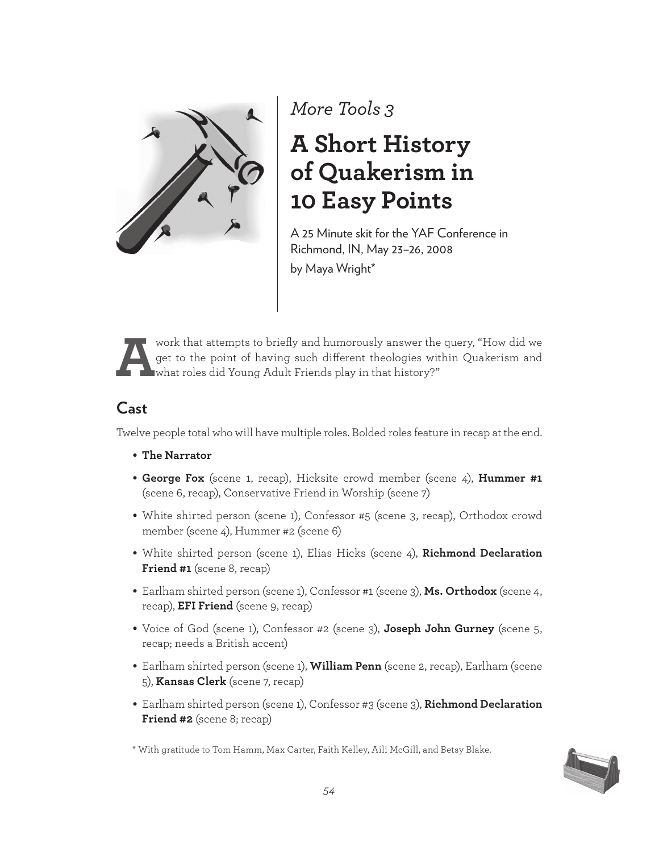

*More Tools 3*

# **A Short History of Quakerism in 10 Easy Points**

A 25 Minute skit for the YAF Conference in Richmond, IN, May 23–26, 2008 by Maya Wright\*



Work that attempts to briefly and humorously answer the query, "How did we get to the point of having such different theologies within Quakerism and what roles did Young Adult Friends play in that history?" get to the point of having such diferent theologies within Quakerism and what roles did Young Adult Friends play in that history?"

## **Cast**

Twelve people total who will have multiple roles. Bolded roles feature in recap at the end.

- **The Narrator**
- **George Fox** (scene 1, recap), Hicksite crowd member (scene 4), **Hummer #1** (scene 6, recap), Conservative Friend in Worship (scene 7)
- White shirted person (scene 1), Confessor #5 (scene 3, recap), Orthodox crowd member (scene 4), Hummer #2 (scene 6)
- White shirted person (scene 1), Elias Hicks (scene 4), **Richmond Declaration Friend #1** (scene 8, recap)
- Earlham shirted person (scene 1), Confessor #1 (scene 3), **Ms. Orthodox** (scene 4, recap), **EFI Friend** (scene 9, recap)
- Voice of God (scene 1), Confessor #2 (scene 3), **Joseph John Gurney** (scene 5, recap; needs a British accent)
- Earlham shirted person (scene 1), **William Penn** (scene 2, recap), Earlham (scene 5), **Kansas Clerk** (scene 7, recap)
- Earlham shirted person (scene 1), Confessor #3 (scene 3), **Richmond Declaration Friend #2** (scene 8; recap)

\* With gratitude to Tom Hamm, Max Carter, Faith Kelley, Aili McGill, and Betsy Blake.

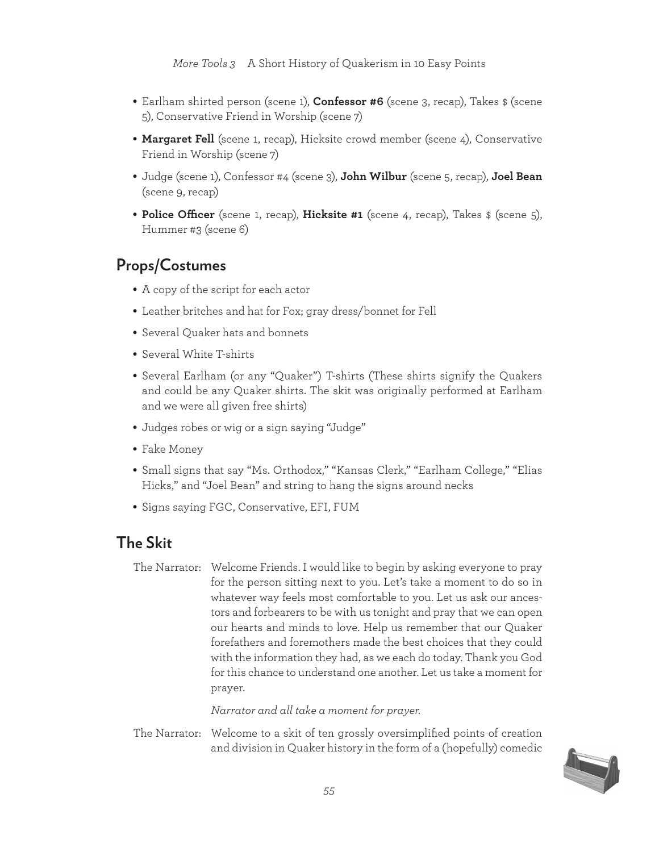- Earlham shirted person (scene 1), **Confessor #6** (scene 3, recap), Takes \$ (scene 5), Conservative Friend in Worship (scene 7)
- **Margaret Fell** (scene 1, recap), Hicksite crowd member (scene 4), Conservative Friend in Worship (scene 7)
- Judge (scene 1), Confessor #4 (scene 3), **John Wilbur** (scene 5, recap), **Joel Bean**  (scene 9, recap)
- **Police Ofcer** (scene 1, recap), **Hicksite #1** (scene 4, recap), Takes \$ (scene 5), Hummer #3 (scene 6)

## **Props/Costumes**

- A copy of the script for each actor
- Leather britches and hat for Fox; gray dress/bonnet for Fell
- Several Quaker hats and bonnets
- Several White T-shirts
- Several Earlham (or any "Quaker") T-shirts (These shirts signify the Quakers and could be any Quaker shirts. The skit was originally performed at Earlham and we were all given free shirts)
- Judges robes or wig or a sign saying "Judge"
- Fake Money
- Small signs that say "Ms. Orthodox," "Kansas Clerk," "Earlham College," "Elias Hicks," and "Joel Bean" and string to hang the signs around necks
- Signs saying FGC, Conservative, EFI, FUM

### **The Skit**

The Narrator: Welcome Friends. I would like to begin by asking everyone to pray for the person sitting next to you. Let's take a moment to do so in whatever way feels most comfortable to you. Let us ask our ancestors and forbearers to be with us tonight and pray that we can open our hearts and minds to love. Help us remember that our Quaker forefathers and foremothers made the best choices that they could with the information they had, as we each do today. Thank you God for this chance to understand one another. Let us take a moment for prayer.

*Narrator and all take a moment for prayer.*

The Narrator: Welcome to a skit of ten grossly oversimplified points of creation and division in Quaker history in the form of a (hopefully) comedic

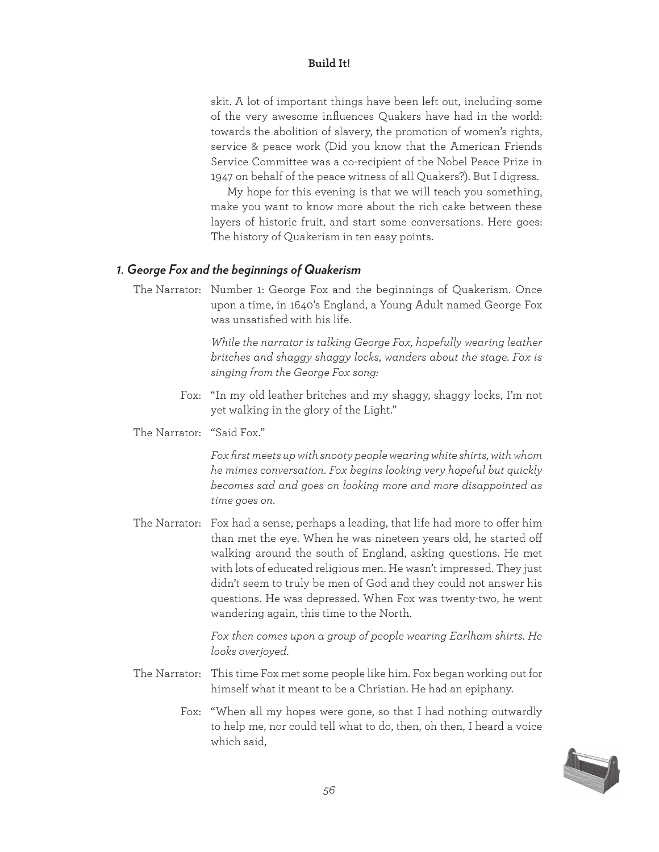skit. A lot of important things have been left out, including some of the very awesome influences Quakers have had in the world: towards the abolition of slavery, the promotion of women's rights, service & peace work (Did you know that the American Friends Service Committee was a co-recipient of the Nobel Peace Prize in 1947 on behalf of the peace witness of all Quakers?). But I digress.

 My hope for this evening is that we will teach you something, make you want to know more about the rich cake between these layers of historic fruit, and start some conversations. Here goes: The history of Quakerism in ten easy points.

#### *1. George Fox and the beginnings of Quakerism*

The Narrator: Number 1: George Fox and the beginnings of Quakerism. Once upon a time, in 1640's England, a Young Adult named George Fox was unsatisfied with his life.

> *While the narrator is talking George Fox, hopefully wearing leather britches and shaggy shaggy locks, wanders about the stage. Fox is singing from the George Fox song:*

- Fox: "In my old leather britches and my shaggy, shaggy locks, I'm not yet walking in the glory of the Light."
- The Narrator: "Said Fox."

*Fox first meets up with snooty people wearing white shirts, with whom he mimes conversation. Fox begins looking very hopeful but quickly becomes sad and goes on looking more and more disappointed as time goes on.*

The Narrator: Fox had a sense, perhaps a leading, that life had more to ofer him than met the eye. When he was nineteen years old, he started of walking around the south of England, asking questions. He met with lots of educated religious men. He wasn't impressed. They just didn't seem to truly be men of God and they could not answer his questions. He was depressed. When Fox was twenty-two, he went wandering again, this time to the North.

> *Fox then comes upon a group of people wearing Earlham shirts. He looks overjoyed.*

- The Narrator: This time Fox met some people like him. Fox began working out for himself what it meant to be a Christian. He had an epiphany.
	- Fox: "When all my hopes were gone, so that I had nothing outwardly to help me, nor could tell what to do, then, oh then, I heard a voice which said,

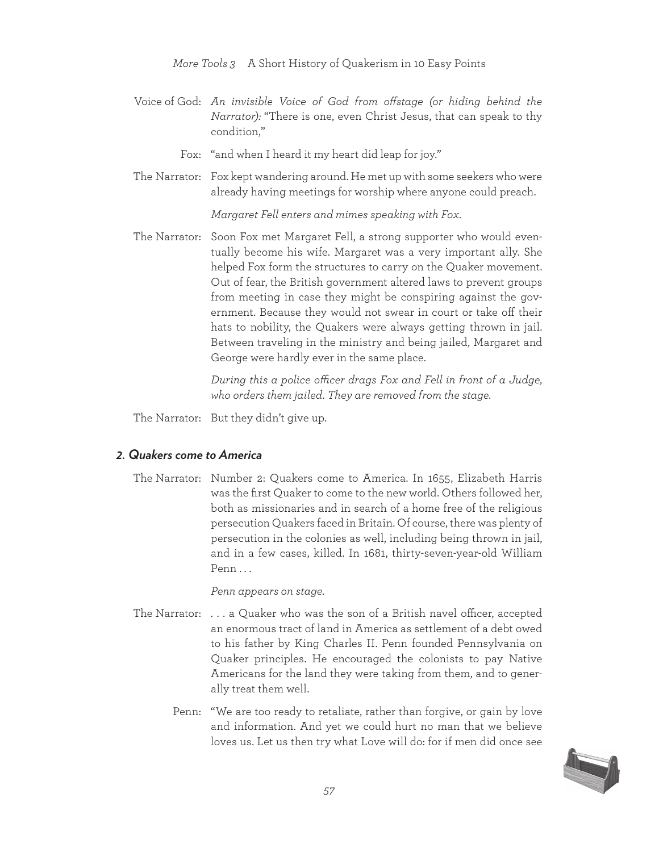*More Tools 3* A Short History of Quakerism in 10 Easy Points

Voice of God: *An invisible Voice of God from ofstage (or hiding behind the Narrator):* "There is one, even Christ Jesus, that can speak to thy condition,"

Fox: "and when I heard it my heart did leap for joy."

The Narrator: Fox kept wandering around. He met up with some seekers who were already having meetings for worship where anyone could preach.

*Margaret Fell enters and mimes speaking with Fox.*

The Narrator: Soon Fox met Margaret Fell, a strong supporter who would eventually become his wife. Margaret was a very important ally. She helped Fox form the structures to carry on the Quaker movement. Out of fear, the British government altered laws to prevent groups from meeting in case they might be conspiring against the government. Because they would not swear in court or take off their hats to nobility, the Quakers were always getting thrown in jail. Between traveling in the ministry and being jailed, Margaret and George were hardly ever in the same place.

> *During this a police ofcer drags Fox and Fell in front of a Judge, who orders them jailed. They are removed from the stage.*

The Narrator: But they didn't give up.

#### *2. Quakers come to America*

The Narrator: Number 2: Quakers come to America. In 1655, Elizabeth Harris was the first Quaker to come to the new world. Others followed her, both as missionaries and in search of a home free of the religious persecution Quakers faced in Britain. Of course, there was plenty of persecution in the colonies as well, including being thrown in jail, and in a few cases, killed. In 1681, thirty-seven-year-old William Penn . . .

*Penn appears on stage.*

- The Narrator:  $\dots$  a Quaker who was the son of a British navel officer, accepted an enormous tract of land in America as settlement of a debt owed to his father by King Charles II. Penn founded Pennsylvania on Quaker principles. He encouraged the colonists to pay Native Americans for the land they were taking from them, and to generally treat them well.
	- Penn: "We are too ready to retaliate, rather than forgive, or gain by love and information. And yet we could hurt no man that we believe loves us. Let us then try what Love will do: for if men did once see

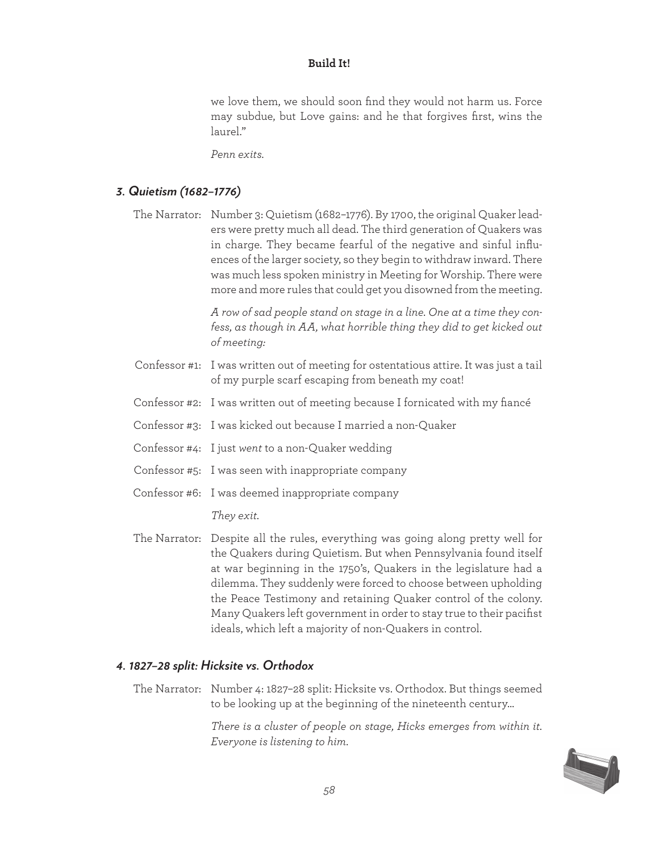we love them, we should soon find they would not harm us. Force may subdue, but Love gains: and he that forgives first, wins the laurel."

*Penn exits.*

#### *3. Quietism (1682–1776)*

The Narrator: Number 3: Quietism (1682–1776). By 1700, the original Quaker leaders were pretty much all dead. The third generation of Quakers was in charge. They became fearful of the negative and sinful influences of the larger society, so they begin to withdraw inward. There was much less spoken ministry in Meeting for Worship. There were more and more rules that could get you disowned from the meeting.

> *A row of sad people stand on stage in a line. One at a time they confess, as though in AA, what horrible thing they did to get kicked out of meeting:*

- Confessor #1: I was written out of meeting for ostentatious attire. It was just a tail of my purple scarf escaping from beneath my coat!
- Confessor #2: I was written out of meeting because I fornicated with my fiancé
- Confessor #3: I was kicked out because I married a non-Quaker
- Confessor #4: I just *went* to a non-Quaker wedding
- Confessor #5: I was seen with inappropriate company
- Confessor #6: I was deemed inappropriate company

*They exit.*

The Narrator: Despite all the rules, everything was going along pretty well for the Quakers during Quietism. But when Pennsylvania found itself at war beginning in the 1750's, Quakers in the legislature had a dilemma. They suddenly were forced to choose between upholding the Peace Testimony and retaining Quaker control of the colony. Many Quakers left government in order to stay true to their pacifist ideals, which left a majority of non-Quakers in control.

#### *4. 1827–28 split: Hicksite vs. Orthodox*

The Narrator: Number 4: 1827–28 split: Hicksite vs. Orthodox. But things seemed to be looking up at the beginning of the nineteenth century…

> *There is a cluster of people on stage, Hicks emerges from within it. Everyone is listening to him.*

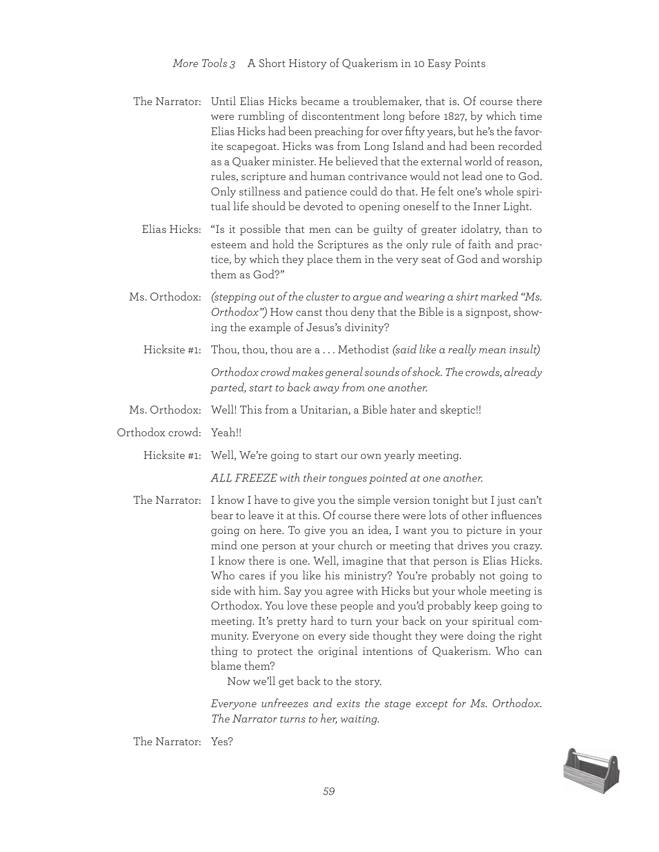- The Narrator: Until Elias Hicks became a troublemaker, that is. Of course there were rumbling of discontentment long before 1827, by which time Elias Hicks had been preaching for over fifty years, but he's the favorite scapegoat. Hicks was from Long Island and had been recorded as a Quaker minister. He believed that the external world of reason, rules, scripture and human contrivance would not lead one to God. Only stillness and patience could do that. He felt one's whole spiritual life should be devoted to opening oneself to the Inner Light.
	- Elias Hicks: "Is it possible that men can be guilty of greater idolatry, than to esteem and hold the Scriptures as the only rule of faith and practice, by which they place them in the very seat of God and worship them as God?"
- Ms. Orthodox: *(stepping out of the cluster to argue and wearing a shirt marked "Ms. Orthodox")* How canst thou deny that the Bible is a signpost, showing the example of Jesus's divinity?
	- Hicksite #1: Thou, thou, thou are a . . . Methodist *(said like a really mean insult) Orthodox crowd makes general sounds of shock. The crowds, already parted, start to back away from one another.*
- Ms. Orthodox: Well! This from a Unitarian, a Bible hater and skeptic!!
- Orthodox crowd: Yeah!!

Hicksite #1: Well, We're going to start our own yearly meeting.

*ALL FREEZE with their tongues pointed at one another.*

The Narrator: I know I have to give you the simple version tonight but I just can't bear to leave it at this. Of course there were lots of other influences going on here. To give you an idea, I want you to picture in your mind one person at your church or meeting that drives you crazy. I know there is one. Well, imagine that that person is Elias Hicks. Who cares if you like his ministry? You're probably not going to side with him. Say you agree with Hicks but your whole meeting is Orthodox. You love these people and you'd probably keep going to meeting. It's pretty hard to turn your back on your spiritual community. Everyone on every side thought they were doing the right thing to protect the original intentions of Quakerism. Who can blame them?

Now we'll get back to the story.

*Everyone unfreezes and exits the stage except for Ms. Orthodox. The Narrator turns to her, waiting.*

The Narrator: Yes?

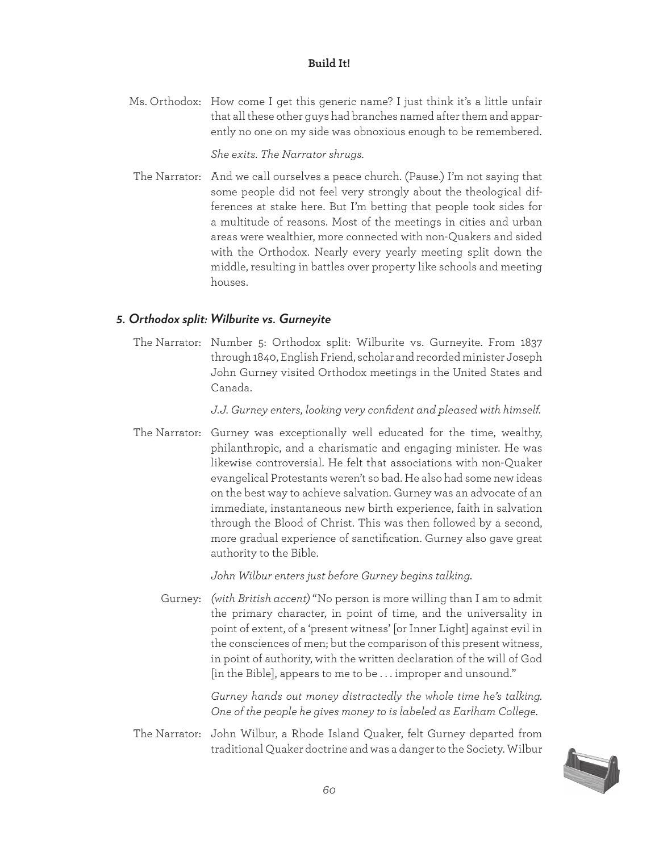Ms. Orthodox: How come I get this generic name? I just think it's a little unfair that all these other guys had branches named after them and apparently no one on my side was obnoxious enough to be remembered.

*She exits. The Narrator shrugs.*

The Narrator: And we call ourselves a peace church. (Pause.) I'm not saying that some people did not feel very strongly about the theological differences at stake here. But I'm betting that people took sides for a multitude of reasons. Most of the meetings in cities and urban areas were wealthier, more connected with non-Quakers and sided with the Orthodox. Nearly every yearly meeting split down the middle, resulting in battles over property like schools and meeting houses.

#### *5. Orthodox split: Wilburite vs. Gurneyite*

The Narrator: Number 5: Orthodox split: Wilburite vs. Gurneyite. From 1837 through 1840, English Friend, scholar and recorded minister Joseph John Gurney visited Orthodox meetings in the United States and Canada.

*J.J. Gurney enters, looking very confident and pleased with himself.*

The Narrator: Gurney was exceptionally well educated for the time, wealthy, philanthropic, and a charismatic and engaging minister. He was likewise controversial. He felt that associations with non-Quaker evangelical Protestants weren't so bad. He also had some new ideas on the best way to achieve salvation. Gurney was an advocate of an immediate, instantaneous new birth experience, faith in salvation through the Blood of Christ. This was then followed by a second, more gradual experience of sanctification. Gurney also gave great authority to the Bible.

*John Wilbur enters just before Gurney begins talking.*

Gurney: *(with British accent)* "No person is more willing than I am to admit the primary character, in point of time, and the universality in point of extent, of a 'present witness' [or Inner Light] against evil in the consciences of men; but the comparison of this present witness, in point of authority, with the written declaration of the will of God [in the Bible], appears to me to be . . . improper and unsound."

> *Gurney hands out money distractedly the whole time he's talking. One of the people he gives money to is labeled as Earlham College.*

The Narrator: John Wilbur, a Rhode Island Quaker, felt Gurney departed from traditional Quaker doctrine and was a danger to the Society. Wilbur

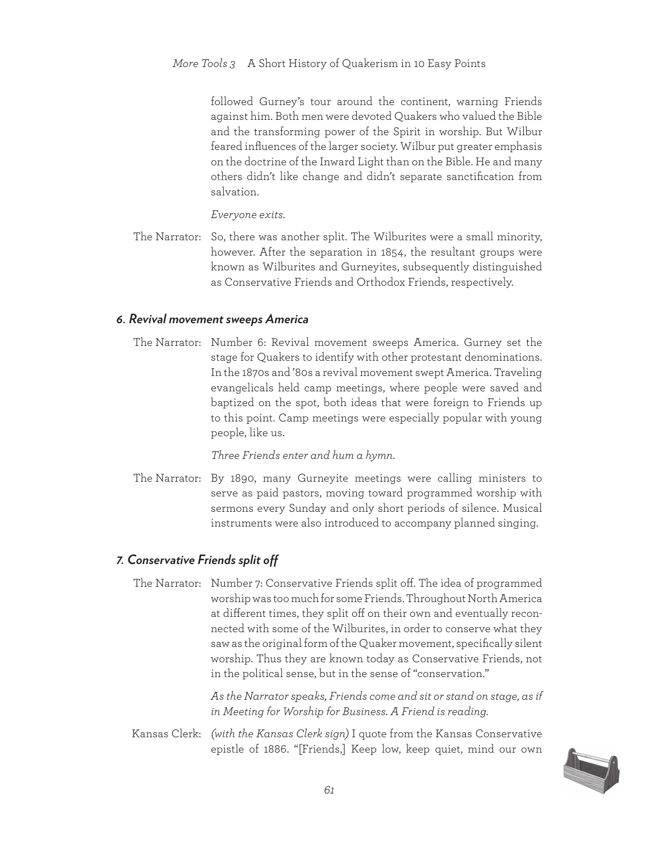followed Gurney's tour around the continent, warning Friends against him. Both men were devoted Quakers who valued the Bible and the transforming power of the Spirit in worship. But Wilbur feared influences of the larger society. Wilbur put greater emphasis on the doctrine of the Inward Light than on the Bible. He and many others didn't like change and didn't separate sanctification from salvation.

*Everyone exits.*

The Narrator: So, there was another split. The Wilburites were a small minority, however. After the separation in 1854, the resultant groups were known as Wilburites and Gurneyites, subsequently distinguished as Conservative Friends and Orthodox Friends, respectively.

#### *6. Revival movement sweeps America*

The Narrator: Number 6: Revival movement sweeps America. Gurney set the stage for Quakers to identify with other protestant denominations. In the 1870s and '80s a revival movement swept America. Traveling evangelicals held camp meetings, where people were saved and baptized on the spot, both ideas that were foreign to Friends up to this point. Camp meetings were especially popular with young people, like us.

*Three Friends enter and hum a hymn.*

The Narrator: By 1890, many Gurneyite meetings were calling ministers to serve as paid pastors, moving toward programmed worship with sermons every Sunday and only short periods of silence. Musical instruments were also introduced to accompany planned singing.

#### *7. Conservative Friends split of*

The Narrator: Number 7: Conservative Friends split of. The idea of programmed worship was too much for some Friends. Throughout North America at different times, they split off on their own and eventually reconnected with some of the Wilburites, in order to conserve what they saw as the original form of the Quaker movement, specifically silent worship. Thus they are known today as Conservative Friends, not in the political sense, but in the sense of "conservation."

> *As the Narrator speaks, Friends come and sit or stand on stage, as if in Meeting for Worship for Business. A Friend is reading.*

Kansas Clerk: *(with the Kansas Clerk sign)* I quote from the Kansas Conservative epistle of 1886. "[Friends,] Keep low, keep quiet, mind our own

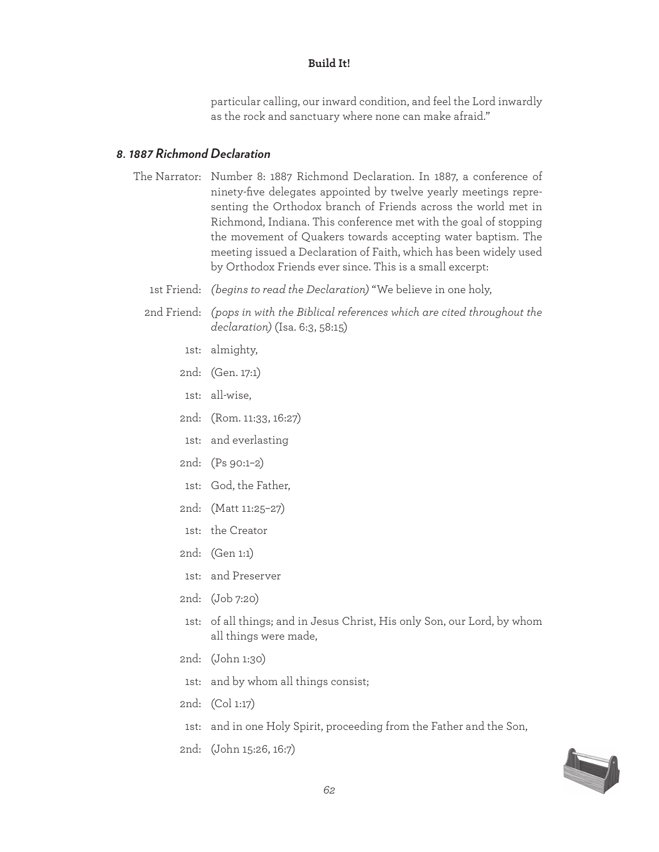particular calling, our inward condition, and feel the Lord inwardly as the rock and sanctuary where none can make afraid."

#### *8. 1887 Richmond Declaration*

- The Narrator: Number 8: 1887 Richmond Declaration. In 1887, a conference of ninety-five delegates appointed by twelve yearly meetings representing the Orthodox branch of Friends across the world met in Richmond, Indiana. This conference met with the goal of stopping the movement of Quakers towards accepting water baptism. The meeting issued a Declaration of Faith, which has been widely used by Orthodox Friends ever since. This is a small excerpt:
	- 1st Friend: *(begins to read the Declaration)* "We believe in one holy,
	- 2nd Friend: *(pops in with the Biblical references which are cited throughout the declaration)* (Isa. 6:3, 58:15)
		- 1st: almighty,
		- 2nd: (Gen. 17:1)
		- 1st: all-wise,
		- 2nd: (Rom. 11:33, 16:27)
		- 1st: and everlasting
		- 2nd: (Ps 90:1–2)
		- 1st: God, the Father,
		- 2nd: (Matt 11:25–27)
		- 1st: the Creator
		- 2nd: (Gen 1:1)
		- 1st: and Preserver
		- 2nd: (Job 7:20)
		- 1st: of all things; and in Jesus Christ, His only Son, our Lord, by whom all things were made,
		- 2nd: (John 1:30)
		- 1st: and by whom all things consist;
		- 2nd: (Col 1:17)
		- 1st: and in one Holy Spirit, proceeding from the Father and the Son,
		- 2nd: (John 15:26, 16:7)

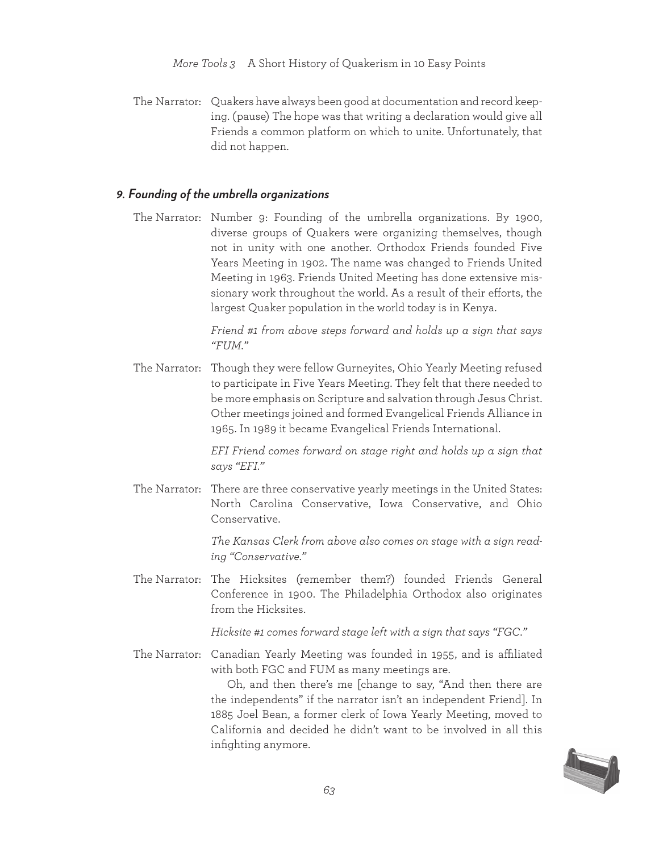The Narrator: Quakers have always been good at documentation and record keeping. (pause) The hope was that writing a declaration would give all Friends a common platform on which to unite. Unfortunately, that did not happen.

#### *9. Founding of the umbrella organizations*

The Narrator: Number 9: Founding of the umbrella organizations. By 1900, diverse groups of Quakers were organizing themselves, though not in unity with one another. Orthodox Friends founded Five Years Meeting in 1902. The name was changed to Friends United Meeting in 1963. Friends United Meeting has done extensive missionary work throughout the world. As a result of their efforts, the largest Quaker population in the world today is in Kenya.

> *Friend #1 from above steps forward and holds up a sign that says "FUM."*

The Narrator: Though they were fellow Gurneyites, Ohio Yearly Meeting refused to participate in Five Years Meeting. They felt that there needed to be more emphasis on Scripture and salvation through Jesus Christ. Other meetings joined and formed Evangelical Friends Alliance in 1965. In 1989 it became Evangelical Friends International.

> *EFI Friend comes forward on stage right and holds up a sign that says "EFI."*

The Narrator: There are three conservative yearly meetings in the United States: North Carolina Conservative, Iowa Conservative, and Ohio Conservative.

> *The Kansas Clerk from above also comes on stage with a sign reading "Conservative."*

The Narrator: The Hicksites (remember them?) founded Friends General Conference in 1900. The Philadelphia Orthodox also originates from the Hicksites.

*Hicksite #1 comes forward stage left with a sign that says "FGC."*

The Narrator: Canadian Yearly Meeting was founded in 1955, and is affiliated with both FGC and FUM as many meetings are.

> Oh, and then there's me [change to say, "And then there are the independents" if the narrator isn't an independent Friend]. In 1885 Joel Bean, a former clerk of Iowa Yearly Meeting, moved to California and decided he didn't want to be involved in all this infighting anymore.

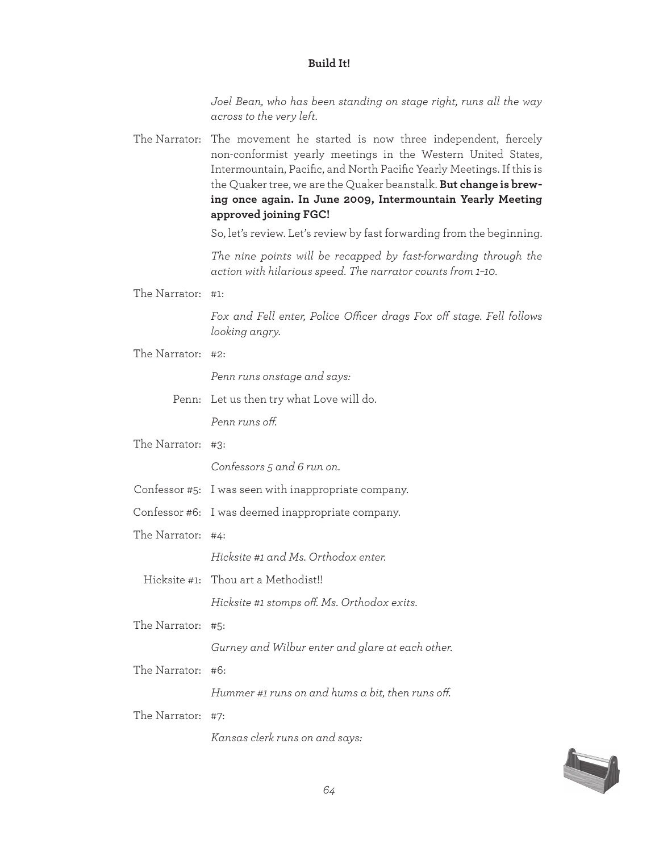*Joel Bean, who has been standing on stage right, runs all the way across to the very left.*

The Narrator: The movement he started is now three independent, fiercely non-conformist yearly meetings in the Western United States, Intermountain, Pacific, and North Pacific Yearly Meetings. If this is the Quaker tree, we are the Quaker beanstalk. **But change is brewing once again. In June 2009, Intermountain Yearly Meeting approved joining FGC!**

So, let's review. Let's review by fast forwarding from the beginning.

*The nine points will be recapped by fast-forwarding through the action with hilarious speed. The narrator counts from 1–10.*

The Narrator: #1:

*Fox and Fell enter, Police Ofcer drags Fox of stage. Fell follows looking angry.*

The Narrator: #2:

*Penn runs onstage and says:*

Penn: Let us then try what Love will do.

*Penn runs of.*

The Narrator: #3:

*Confessors 5 and 6 run on.*

- Confessor #5: I was seen with inappropriate company.
- Confessor #6: I was deemed inappropriate company.
- The Narrator: #4:

*Hicksite #1 and Ms. Orthodox enter.*

Hicksite #1: Thou art a Methodist!!

*Hicksite #1 stomps of. Ms. Orthodox exits.*

The Narrator: #5:

*Gurney and Wilbur enter and glare at each other.*

The Narrator: #6:

*Hummer #1 runs on and hums a bit, then runs of.*

The Narrator: #7:

*Kansas clerk runs on and says:*